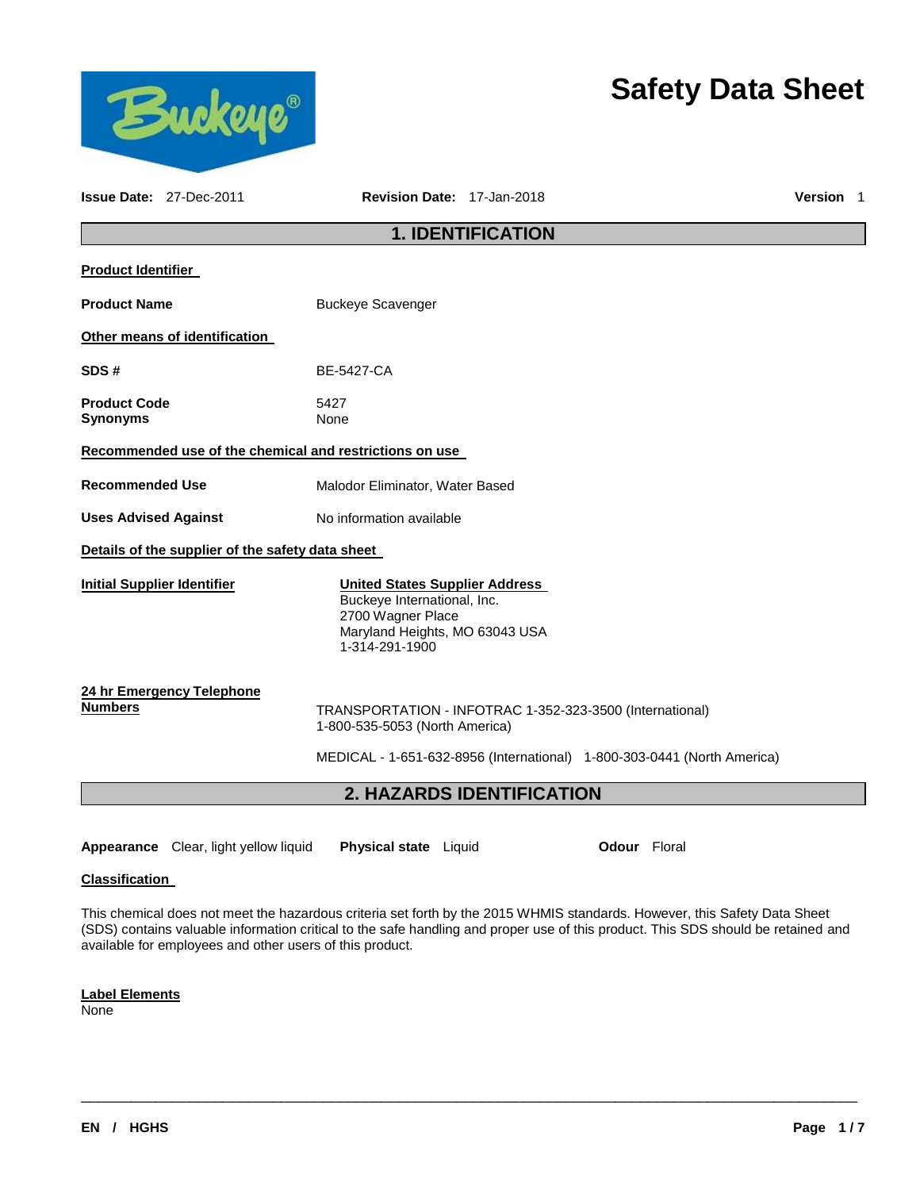

# **Safety Data Sheet**

|                                        | <b>Issue Date: 27-Dec-2011</b> | <b>Revision Date: 17-Jan-2018</b>                                                                                                             | <b>Version</b> 1 |  |  |  |  |  |
|----------------------------------------|--------------------------------|-----------------------------------------------------------------------------------------------------------------------------------------------|------------------|--|--|--|--|--|
|                                        |                                | <b>1. IDENTIFICATION</b>                                                                                                                      |                  |  |  |  |  |  |
| <b>Product Identifier</b>              |                                |                                                                                                                                               |                  |  |  |  |  |  |
| <b>Product Name</b>                    |                                | <b>Buckeye Scavenger</b>                                                                                                                      |                  |  |  |  |  |  |
|                                        | Other means of identification  |                                                                                                                                               |                  |  |  |  |  |  |
| SDS#                                   |                                | <b>BE-5427-CA</b>                                                                                                                             |                  |  |  |  |  |  |
| <b>Product Code</b><br><b>Synonyms</b> |                                | 5427<br>None                                                                                                                                  |                  |  |  |  |  |  |
|                                        |                                | Recommended use of the chemical and restrictions on use                                                                                       |                  |  |  |  |  |  |
| <b>Recommended Use</b>                 |                                | Malodor Eliminator, Water Based                                                                                                               |                  |  |  |  |  |  |
| <b>Uses Advised Against</b>            |                                | No information available                                                                                                                      |                  |  |  |  |  |  |
|                                        |                                | Details of the supplier of the safety data sheet                                                                                              |                  |  |  |  |  |  |
| <b>Initial Supplier Identifier</b>     |                                | <b>United States Supplier Address</b><br>Buckeye International, Inc.<br>2700 Wagner Place<br>Maryland Heights, MO 63043 USA<br>1-314-291-1900 |                  |  |  |  |  |  |
| <b>Numbers</b>                         | 24 hr Emergency Telephone      | TRANSPORTATION - INFOTRAC 1-352-323-3500 (International)<br>1-800-535-5053 (North America)                                                    |                  |  |  |  |  |  |
|                                        |                                | MEDICAL - 1-651-632-8956 (International) 1-800-303-0441 (North America)                                                                       |                  |  |  |  |  |  |
|                                        |                                | 2. HAZARDS IDENTIFICATION                                                                                                                     |                  |  |  |  |  |  |
|                                        |                                |                                                                                                                                               |                  |  |  |  |  |  |

**Appearance** Clear, light yellow liquid **Physical state** Liquid **Odour** Floral

#### **Classification**

This chemical does not meet the hazardous criteria set forth by the 2015 WHMIS standards. However, this Safety Data Sheet (SDS) contains valuable information critical to the safe handling and proper use of this product. This SDS should be retained and available for employees and other users of this product.

\_\_\_\_\_\_\_\_\_\_\_\_\_\_\_\_\_\_\_\_\_\_\_\_\_\_\_\_\_\_\_\_\_\_\_\_\_\_\_\_\_\_\_\_\_\_\_\_\_\_\_\_\_\_\_\_\_\_\_\_\_\_\_\_\_\_\_\_\_\_\_\_\_\_\_\_\_\_\_\_\_\_\_\_\_\_\_\_\_\_\_\_\_

### **Label Elements**

**None**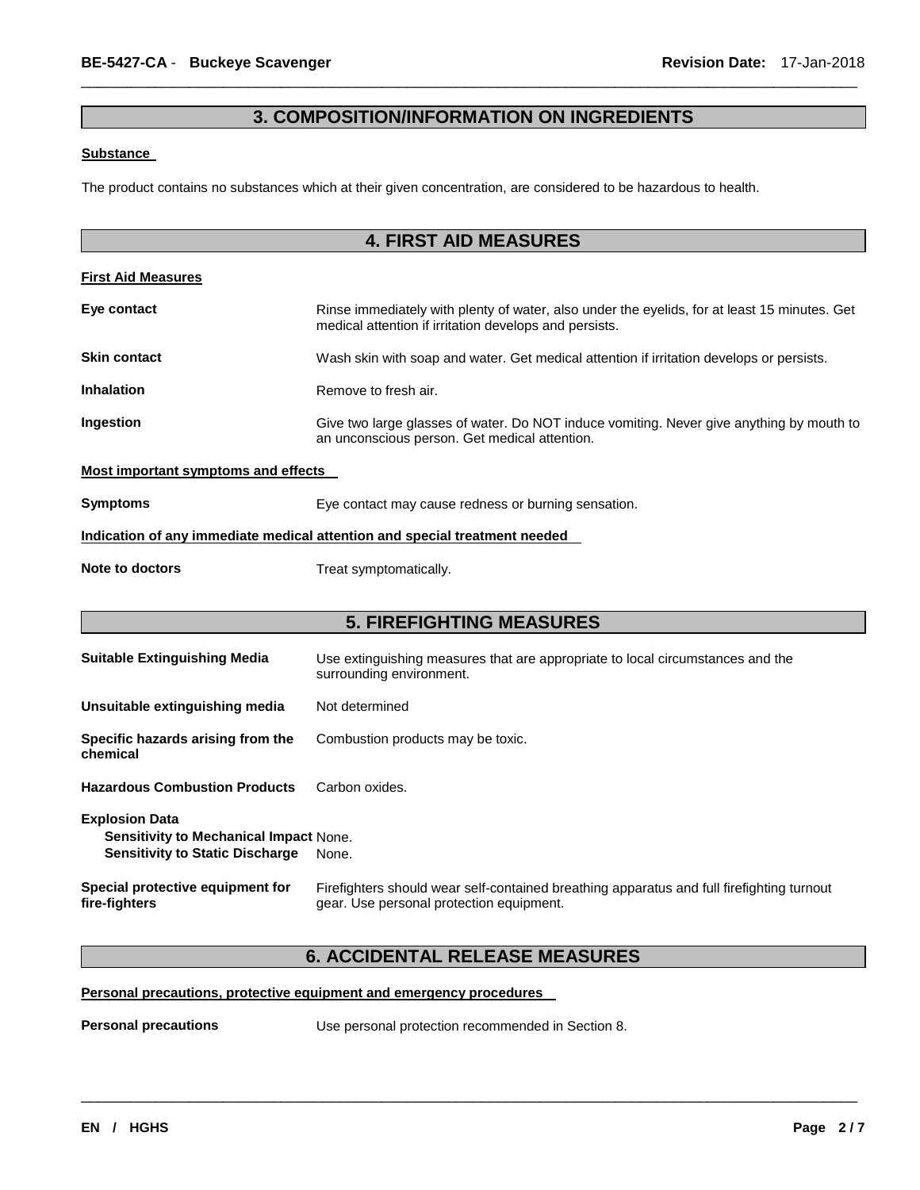### **3. COMPOSITION/INFORMATION ON INGREDIENTS**

\_\_\_\_\_\_\_\_\_\_\_\_\_\_\_\_\_\_\_\_\_\_\_\_\_\_\_\_\_\_\_\_\_\_\_\_\_\_\_\_\_\_\_\_\_\_\_\_\_\_\_\_\_\_\_\_\_\_\_\_\_\_\_\_\_\_\_\_\_\_\_\_\_\_\_\_\_\_\_\_\_\_\_\_\_\_\_\_\_\_\_\_\_

#### **Substance**

The product contains no substances which at their given concentration, are considered to be hazardous to health.

|                                     | <b>4. FIRST AID MEASURES</b>                                                                                                                           |
|-------------------------------------|--------------------------------------------------------------------------------------------------------------------------------------------------------|
| <b>First Aid Measures</b>           |                                                                                                                                                        |
| Eye contact                         | Rinse immediately with plenty of water, also under the eyelids, for at least 15 minutes. Get<br>medical attention if irritation develops and persists. |
| <b>Skin contact</b>                 | Wash skin with soap and water. Get medical attention if irritation develops or persists.                                                               |
| <b>Inhalation</b>                   | Remove to fresh air.                                                                                                                                   |
| Ingestion                           | Give two large glasses of water. Do NOT induce vomiting. Never give anything by mouth to<br>an unconscious person. Get medical attention.              |
| Most important symptoms and effects |                                                                                                                                                        |
| <b>Symptoms</b>                     | Eye contact may cause redness or burning sensation.                                                                                                    |
|                                     | Indication of any immediate medical attention and special treatment needed                                                                             |
| Note to doctors                     | Treat symptomatically.                                                                                                                                 |
|                                     |                                                                                                                                                        |

# **5. FIREFIGHTING MEASURES**

| <b>Suitable Extinguishing Media</b>                                                                              | Use extinguishing measures that are appropriate to local circumstances and the<br>surrounding environment.                            |
|------------------------------------------------------------------------------------------------------------------|---------------------------------------------------------------------------------------------------------------------------------------|
| Unsuitable extinguishing media                                                                                   | Not determined                                                                                                                        |
| Specific hazards arising from the<br>chemical                                                                    | Combustion products may be toxic.                                                                                                     |
| <b>Hazardous Combustion Products</b>                                                                             | Carbon oxides.                                                                                                                        |
| <b>Explosion Data</b><br><b>Sensitivity to Mechanical Impact None.</b><br><b>Sensitivity to Static Discharge</b> | None.                                                                                                                                 |
| Special protective equipment for<br>fire-fighters                                                                | Firefighters should wear self-contained breathing apparatus and full firefighting turnout<br>gear. Use personal protection equipment. |

### **6. ACCIDENTAL RELEASE MEASURES**

### **Personal precautions, protective equipment and emergency procedures**

**Personal precautions** Use personal protection recommended in Section 8.

\_\_\_\_\_\_\_\_\_\_\_\_\_\_\_\_\_\_\_\_\_\_\_\_\_\_\_\_\_\_\_\_\_\_\_\_\_\_\_\_\_\_\_\_\_\_\_\_\_\_\_\_\_\_\_\_\_\_\_\_\_\_\_\_\_\_\_\_\_\_\_\_\_\_\_\_\_\_\_\_\_\_\_\_\_\_\_\_\_\_\_\_\_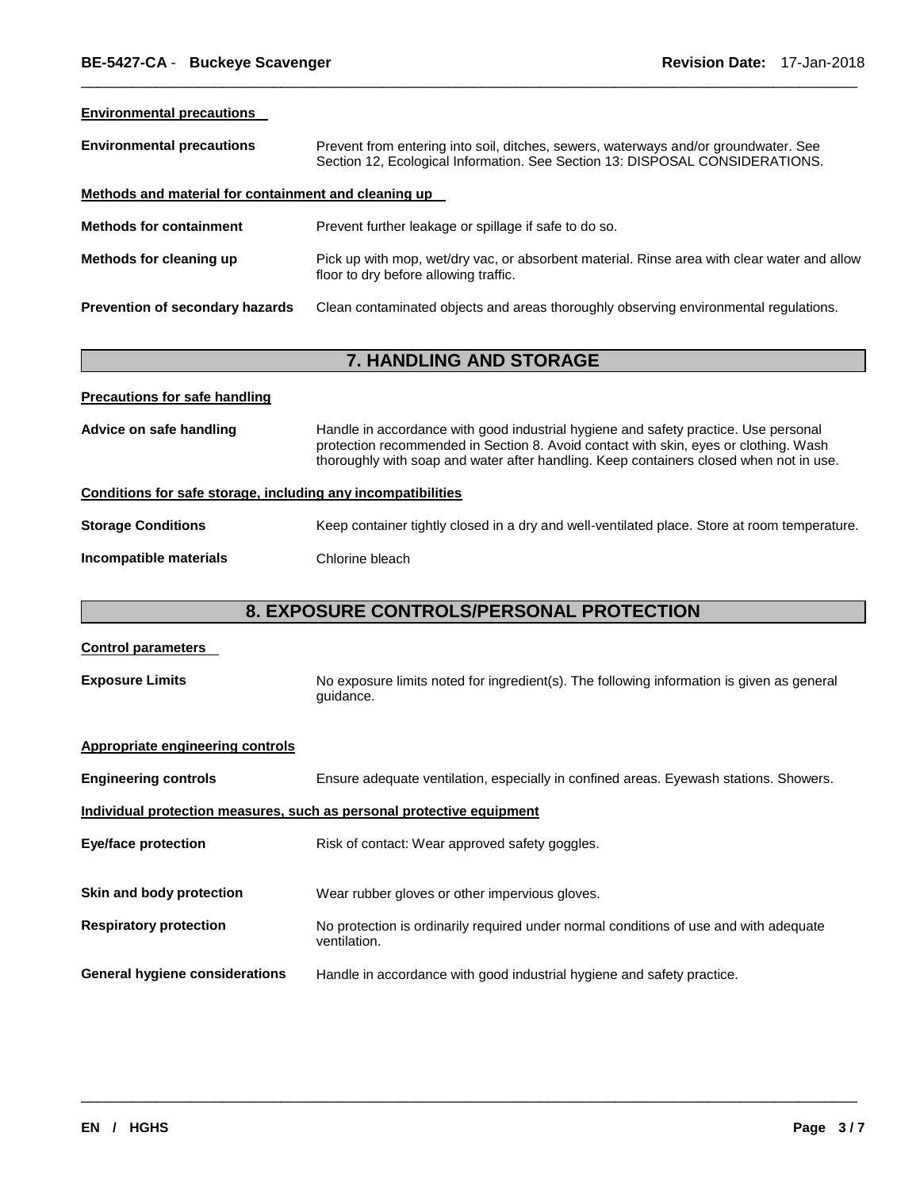| <b>Environmental precautions</b>                     |                                                                                                                                                                     |  |  |  |  |  |  |
|------------------------------------------------------|---------------------------------------------------------------------------------------------------------------------------------------------------------------------|--|--|--|--|--|--|
| <b>Environmental precautions</b>                     | Prevent from entering into soil, ditches, sewers, waterways and/or groundwater. See<br>Section 12, Ecological Information. See Section 13: DISPOSAL CONSIDERATIONS. |  |  |  |  |  |  |
| Methods and material for containment and cleaning up |                                                                                                                                                                     |  |  |  |  |  |  |
| <b>Methods for containment</b>                       | Prevent further leakage or spillage if safe to do so.                                                                                                               |  |  |  |  |  |  |
| Methods for cleaning up                              | Pick up with mop, wet/dry vac, or absorbent material. Rinse area with clear water and allow<br>floor to dry before allowing traffic.                                |  |  |  |  |  |  |
| Prevention of secondary hazards                      | Clean contaminated objects and areas thoroughly observing environmental regulations.                                                                                |  |  |  |  |  |  |
|                                                      |                                                                                                                                                                     |  |  |  |  |  |  |
|                                                      | <b>7. HANDLING AND STORAGE</b>                                                                                                                                      |  |  |  |  |  |  |

\_\_\_\_\_\_\_\_\_\_\_\_\_\_\_\_\_\_\_\_\_\_\_\_\_\_\_\_\_\_\_\_\_\_\_\_\_\_\_\_\_\_\_\_\_\_\_\_\_\_\_\_\_\_\_\_\_\_\_\_\_\_\_\_\_\_\_\_\_\_\_\_\_\_\_\_\_\_\_\_\_\_\_\_\_\_\_\_\_\_\_\_\_

| <b>Precautions for safe handling</b>                                                                                                                                                                                                                                                             |                                                                                              |  |  |  |  |
|--------------------------------------------------------------------------------------------------------------------------------------------------------------------------------------------------------------------------------------------------------------------------------------------------|----------------------------------------------------------------------------------------------|--|--|--|--|
| Advice on safe handling<br>Handle in accordance with good industrial hygiene and safety practice. Use personal<br>protection recommended in Section 8. Avoid contact with skin, eyes or clothing. Wash<br>thoroughly with soap and water after handling. Keep containers closed when not in use. |                                                                                              |  |  |  |  |
|                                                                                                                                                                                                                                                                                                  | Conditions for safe storage, including any incompatibilities                                 |  |  |  |  |
| <b>Storage Conditions</b>                                                                                                                                                                                                                                                                        | Keep container tightly closed in a dry and well-ventilated place. Store at room temperature. |  |  |  |  |
| Incompatible materials                                                                                                                                                                                                                                                                           | Chlorine bleach                                                                              |  |  |  |  |

# **8. EXPOSURE CONTROLS/PERSONAL PROTECTION**

### **Control parameters**

**Exposure Limits** No exposure limits noted for ingredient(s). The following information is given as general guidance.

| Appropriate engineering controls                                      |                                                                                                       |  |  |  |  |
|-----------------------------------------------------------------------|-------------------------------------------------------------------------------------------------------|--|--|--|--|
| <b>Engineering controls</b>                                           | Ensure adequate ventilation, especially in confined areas. Eyewash stations. Showers.                 |  |  |  |  |
| Individual protection measures, such as personal protective equipment |                                                                                                       |  |  |  |  |
| <b>Eye/face protection</b>                                            | Risk of contact: Wear approved safety goggles.                                                        |  |  |  |  |
| Skin and body protection                                              | Wear rubber gloves or other impervious gloves.                                                        |  |  |  |  |
| <b>Respiratory protection</b>                                         | No protection is ordinarily required under normal conditions of use and with adequate<br>ventilation. |  |  |  |  |
| <b>General hygiene considerations</b>                                 | Handle in accordance with good industrial hygiene and safety practice.                                |  |  |  |  |

\_\_\_\_\_\_\_\_\_\_\_\_\_\_\_\_\_\_\_\_\_\_\_\_\_\_\_\_\_\_\_\_\_\_\_\_\_\_\_\_\_\_\_\_\_\_\_\_\_\_\_\_\_\_\_\_\_\_\_\_\_\_\_\_\_\_\_\_\_\_\_\_\_\_\_\_\_\_\_\_\_\_\_\_\_\_\_\_\_\_\_\_\_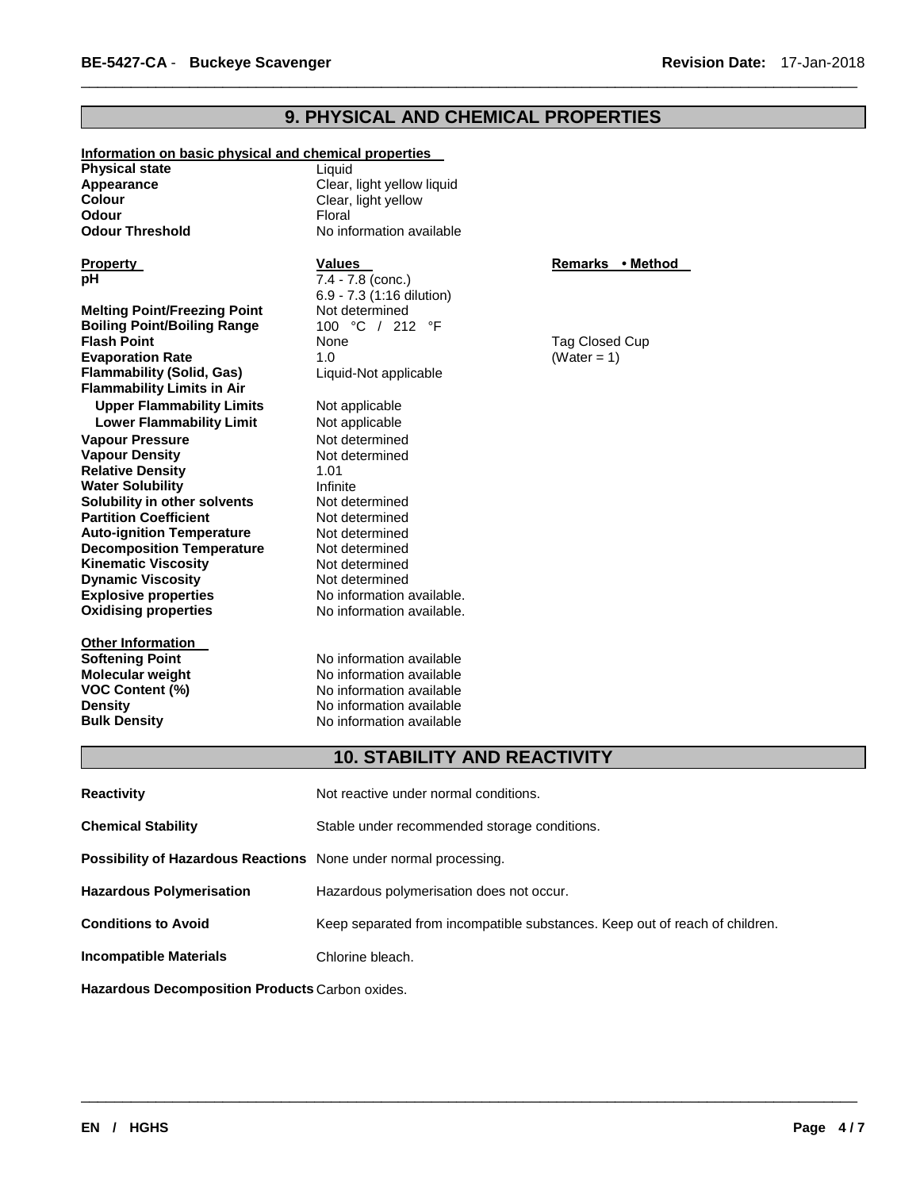# **9. PHYSICAL AND CHEMICAL PROPERTIES**

\_\_\_\_\_\_\_\_\_\_\_\_\_\_\_\_\_\_\_\_\_\_\_\_\_\_\_\_\_\_\_\_\_\_\_\_\_\_\_\_\_\_\_\_\_\_\_\_\_\_\_\_\_\_\_\_\_\_\_\_\_\_\_\_\_\_\_\_\_\_\_\_\_\_\_\_\_\_\_\_\_\_\_\_\_\_\_\_\_\_\_\_\_

| Information on basic physical and chemical properties |                            |                  |
|-------------------------------------------------------|----------------------------|------------------|
| <b>Physical state</b>                                 | Liquid                     |                  |
| Appearance                                            | Clear, light yellow liquid |                  |
| <b>Colour</b>                                         | Clear, light yellow        |                  |
| <b>Odour</b>                                          | Floral                     |                  |
| <b>Odour Threshold</b>                                | No information available   |                  |
| <b>Property</b>                                       | <b>Values</b>              | Remarks • Method |
| рH                                                    | 7.4 - 7.8 (conc.)          |                  |
|                                                       | 6.9 - 7.3 (1:16 dilution)  |                  |
| <b>Melting Point/Freezing Point</b>                   | Not determined             |                  |
| <b>Boiling Point/Boiling Range</b>                    | 100 °C / 212 °F            |                  |
| <b>Flash Point</b>                                    | None                       | Tag Closed Cup   |
| <b>Evaporation Rate</b>                               | 1.0                        | (Water = $1$ )   |
| <b>Flammability (Solid, Gas)</b>                      | Liquid-Not applicable      |                  |
| <b>Flammability Limits in Air</b>                     |                            |                  |
| <b>Upper Flammability Limits</b>                      | Not applicable             |                  |
| <b>Lower Flammability Limit</b>                       | Not applicable             |                  |
| <b>Vapour Pressure</b>                                | Not determined             |                  |
| <b>Vapour Density</b>                                 | Not determined             |                  |
| <b>Relative Density</b>                               | 1.01                       |                  |
| <b>Water Solubility</b>                               | Infinite                   |                  |
| Solubility in other solvents                          | Not determined             |                  |
| <b>Partition Coefficient</b>                          | Not determined             |                  |
| <b>Auto-ignition Temperature</b>                      | Not determined             |                  |
| <b>Decomposition Temperature</b>                      | Not determined             |                  |
| <b>Kinematic Viscosity</b>                            | Not determined             |                  |
| <b>Dynamic Viscosity</b>                              | Not determined             |                  |
| <b>Explosive properties</b>                           | No information available.  |                  |
| <b>Oxidising properties</b>                           | No information available.  |                  |
| <b>Other Information</b>                              |                            |                  |
| <b>Softening Point</b>                                | No information available   |                  |
| <b>Molecular weight</b>                               | No information available   |                  |
| <b>VOC Content (%)</b>                                | No information available   |                  |
| <b>Density</b>                                        | No information available   |                  |
| <b>Bulk Density</b>                                   | No information available   |                  |
|                                                       |                            |                  |

# **10. STABILITY AND REACTIVITY**

\_\_\_\_\_\_\_\_\_\_\_\_\_\_\_\_\_\_\_\_\_\_\_\_\_\_\_\_\_\_\_\_\_\_\_\_\_\_\_\_\_\_\_\_\_\_\_\_\_\_\_\_\_\_\_\_\_\_\_\_\_\_\_\_\_\_\_\_\_\_\_\_\_\_\_\_\_\_\_\_\_\_\_\_\_\_\_\_\_\_\_\_\_

| <b>Reactivity</b>                                                | Not reactive under normal conditions.                                       |
|------------------------------------------------------------------|-----------------------------------------------------------------------------|
| <b>Chemical Stability</b>                                        | Stable under recommended storage conditions.                                |
| Possibility of Hazardous Reactions None under normal processing. |                                                                             |
| <b>Hazardous Polymerisation</b>                                  | Hazardous polymerisation does not occur.                                    |
| <b>Conditions to Avoid</b>                                       | Keep separated from incompatible substances. Keep out of reach of children. |
| <b>Incompatible Materials</b>                                    | Chlorine bleach.                                                            |
|                                                                  |                                                                             |

**Hazardous Decomposition Products** Carbon oxides.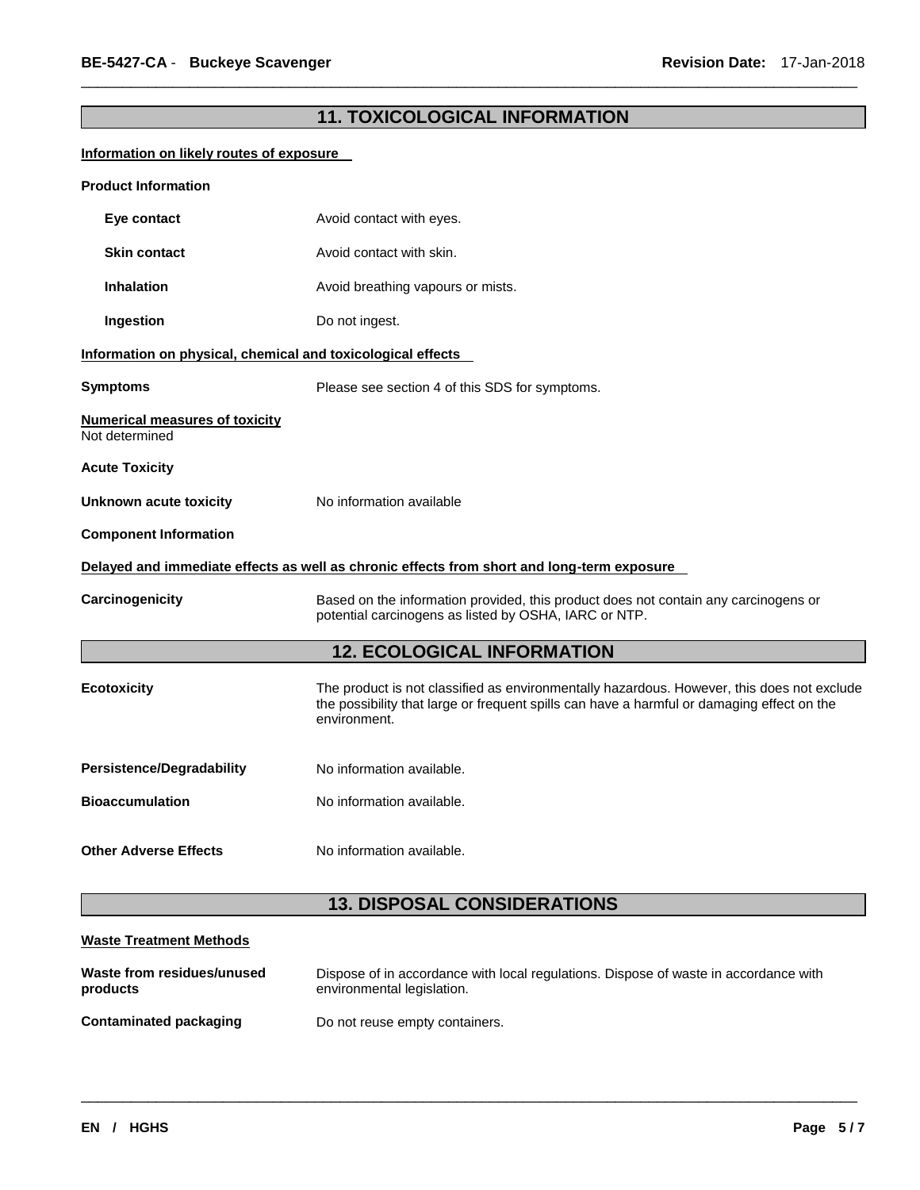# **11. TOXICOLOGICAL INFORMATION**

\_\_\_\_\_\_\_\_\_\_\_\_\_\_\_\_\_\_\_\_\_\_\_\_\_\_\_\_\_\_\_\_\_\_\_\_\_\_\_\_\_\_\_\_\_\_\_\_\_\_\_\_\_\_\_\_\_\_\_\_\_\_\_\_\_\_\_\_\_\_\_\_\_\_\_\_\_\_\_\_\_\_\_\_\_\_\_\_\_\_\_\_\_

### **Information on likely routes of exposure**

| <b>Product Information</b>                                  |                                                                                                                                                                                                          |  |  |  |  |
|-------------------------------------------------------------|----------------------------------------------------------------------------------------------------------------------------------------------------------------------------------------------------------|--|--|--|--|
| Eye contact                                                 | Avoid contact with eyes.                                                                                                                                                                                 |  |  |  |  |
| <b>Skin contact</b>                                         | Avoid contact with skin.                                                                                                                                                                                 |  |  |  |  |
| <b>Inhalation</b>                                           | Avoid breathing vapours or mists.                                                                                                                                                                        |  |  |  |  |
| Ingestion                                                   | Do not ingest.                                                                                                                                                                                           |  |  |  |  |
| Information on physical, chemical and toxicological effects |                                                                                                                                                                                                          |  |  |  |  |
| <b>Symptoms</b>                                             | Please see section 4 of this SDS for symptoms.                                                                                                                                                           |  |  |  |  |
| <b>Numerical measures of toxicity</b><br>Not determined     |                                                                                                                                                                                                          |  |  |  |  |
| <b>Acute Toxicity</b>                                       |                                                                                                                                                                                                          |  |  |  |  |
| Unknown acute toxicity                                      | No information available                                                                                                                                                                                 |  |  |  |  |
| <b>Component Information</b>                                |                                                                                                                                                                                                          |  |  |  |  |
|                                                             | Delayed and immediate effects as well as chronic effects from short and long-term exposure                                                                                                               |  |  |  |  |
| Carcinogenicity                                             | Based on the information provided, this product does not contain any carcinogens or<br>potential carcinogens as listed by OSHA, IARC or NTP.                                                             |  |  |  |  |
|                                                             | <b>12. ECOLOGICAL INFORMATION</b>                                                                                                                                                                        |  |  |  |  |
| <b>Ecotoxicity</b>                                          | The product is not classified as environmentally hazardous. However, this does not exclude<br>the possibility that large or frequent spills can have a harmful or damaging effect on the<br>environment. |  |  |  |  |
| <b>Persistence/Degradability</b>                            | No information available.                                                                                                                                                                                |  |  |  |  |
| <b>Bioaccumulation</b>                                      | No information available.                                                                                                                                                                                |  |  |  |  |
| <b>Other Adverse Effects</b>                                | No information available.                                                                                                                                                                                |  |  |  |  |
|                                                             | <b>13. DISPOSAL CONSIDERATIONS</b>                                                                                                                                                                       |  |  |  |  |

| Waste from residues/unused | Dispose of in accordance with local regulations. Dispose of waste in accordance with |
|----------------------------|--------------------------------------------------------------------------------------|
| products                   | environmental legislation.                                                           |
| Contaminated packaging     | Do not reuse empty containers.                                                       |

\_\_\_\_\_\_\_\_\_\_\_\_\_\_\_\_\_\_\_\_\_\_\_\_\_\_\_\_\_\_\_\_\_\_\_\_\_\_\_\_\_\_\_\_\_\_\_\_\_\_\_\_\_\_\_\_\_\_\_\_\_\_\_\_\_\_\_\_\_\_\_\_\_\_\_\_\_\_\_\_\_\_\_\_\_\_\_\_\_\_\_\_\_

**Waste Treatment Methods**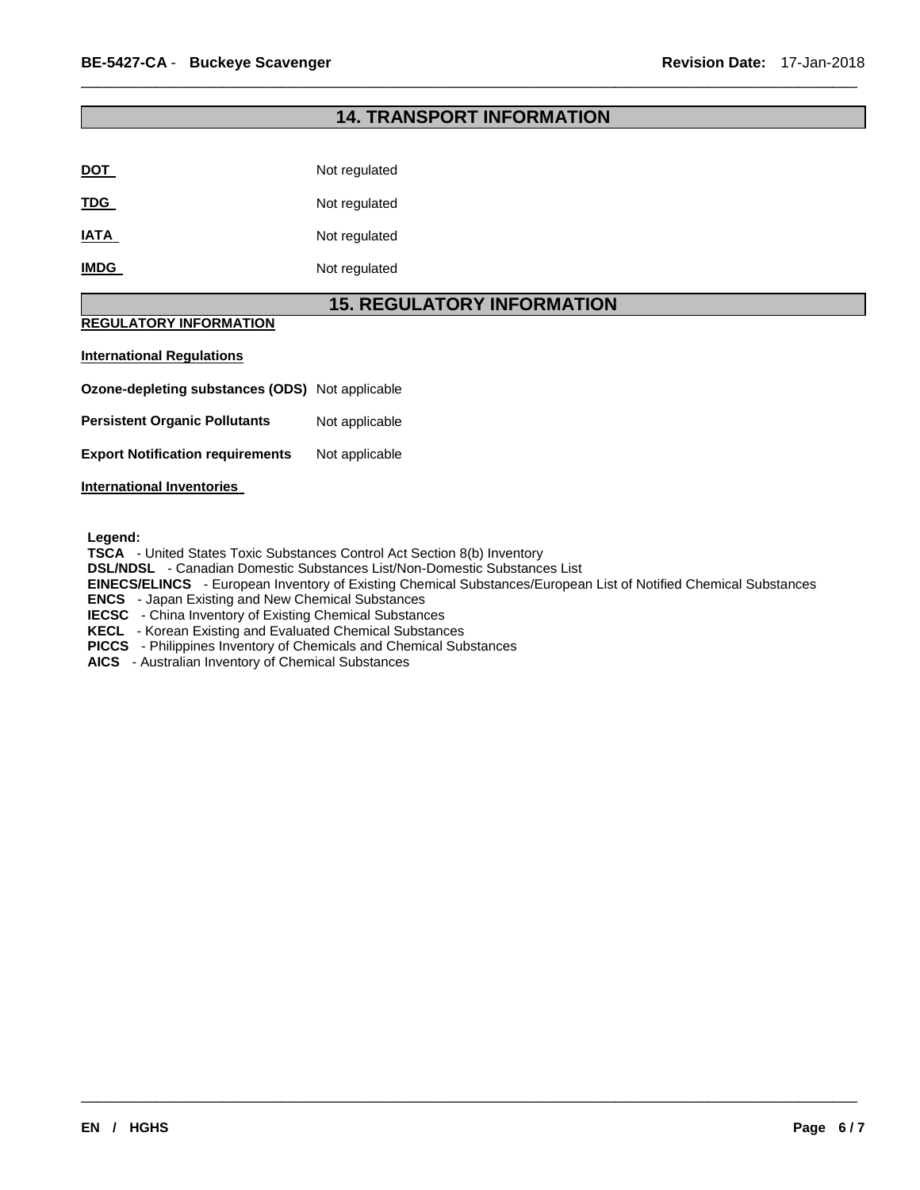### **14. TRANSPORT INFORMATION**

\_\_\_\_\_\_\_\_\_\_\_\_\_\_\_\_\_\_\_\_\_\_\_\_\_\_\_\_\_\_\_\_\_\_\_\_\_\_\_\_\_\_\_\_\_\_\_\_\_\_\_\_\_\_\_\_\_\_\_\_\_\_\_\_\_\_\_\_\_\_\_\_\_\_\_\_\_\_\_\_\_\_\_\_\_\_\_\_\_\_\_\_\_

| Not regulated |
|---------------|
| Not regulated |
| Not regulated |
| Not regulated |
|               |

### **15. REGULATORY INFORMATION**

### **REGULATORY INFORMATION**

#### **International Regulations**

**Ozone-depleting substances (ODS)** Not applicable

**Persistent Organic Pollutants** Not applicable

**Export Notification requirements** Not applicable

#### **International Inventories**

**Legend:** 

**TSCA** - United States Toxic Substances Control Act Section 8(b) Inventory

**DSL/NDSL** - Canadian Domestic Substances List/Non-Domestic Substances List

**EINECS/ELINCS** - European Inventory of Existing Chemical Substances/European List of Notified Chemical Substances

\_\_\_\_\_\_\_\_\_\_\_\_\_\_\_\_\_\_\_\_\_\_\_\_\_\_\_\_\_\_\_\_\_\_\_\_\_\_\_\_\_\_\_\_\_\_\_\_\_\_\_\_\_\_\_\_\_\_\_\_\_\_\_\_\_\_\_\_\_\_\_\_\_\_\_\_\_\_\_\_\_\_\_\_\_\_\_\_\_\_\_\_\_

**ENCS** - Japan Existing and New Chemical Substances

**IECSC** - China Inventory of Existing Chemical Substances

**KECL** - Korean Existing and Evaluated Chemical Substances

**PICCS** - Philippines Inventory of Chemicals and Chemical Substances

**AICS** - Australian Inventory of Chemical Substances